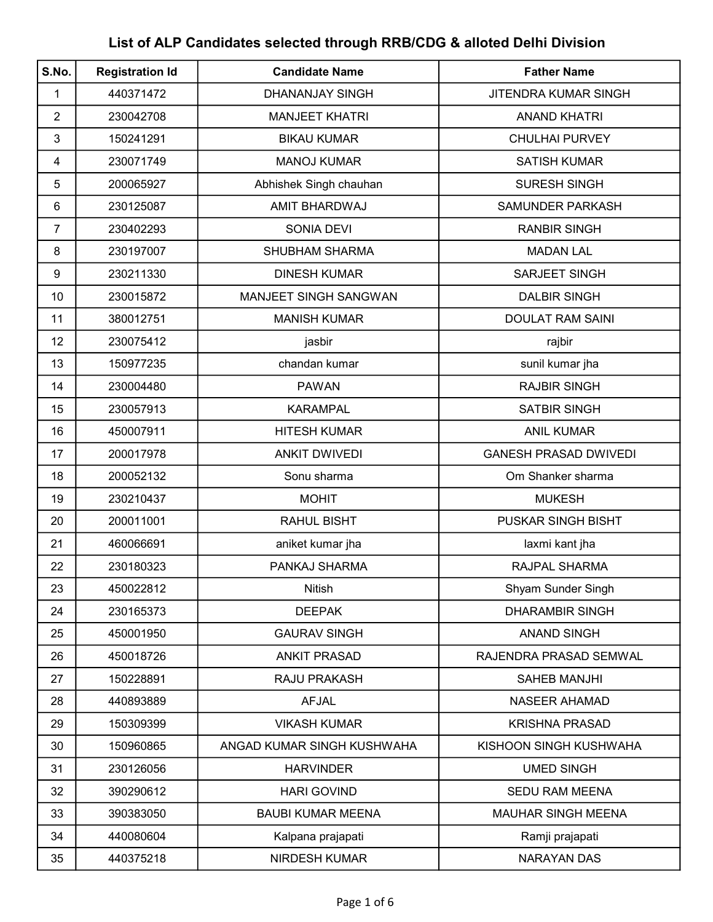## List of ALP Candidates selected through RRB/CDG & alloted Delhi Division

| S.No.          | <b>Registration Id</b> | <b>Candidate Name</b>      | <b>Father Name</b>           |
|----------------|------------------------|----------------------------|------------------------------|
| 1              | 440371472              | DHANANJAY SINGH            | <b>JITENDRA KUMAR SINGH</b>  |
| $\overline{2}$ | 230042708              | <b>MANJEET KHATRI</b>      | <b>ANAND KHATRI</b>          |
| 3              | 150241291              | <b>BIKAU KUMAR</b>         | <b>CHULHAI PURVEY</b>        |
| 4              | 230071749              | <b>MANOJ KUMAR</b>         | <b>SATISH KUMAR</b>          |
| 5              | 200065927              | Abhishek Singh chauhan     | <b>SURESH SINGH</b>          |
| 6              | 230125087              | AMIT BHARDWAJ              | SAMUNDER PARKASH             |
| 7              | 230402293              | <b>SONIA DEVI</b>          | <b>RANBIR SINGH</b>          |
| 8              | 230197007              | SHUBHAM SHARMA             | <b>MADAN LAL</b>             |
| 9              | 230211330              | <b>DINESH KUMAR</b>        | SARJEET SINGH                |
| 10             | 230015872              | MANJEET SINGH SANGWAN      | <b>DALBIR SINGH</b>          |
| 11             | 380012751              | <b>MANISH KUMAR</b>        | <b>DOULAT RAM SAINI</b>      |
| 12             | 230075412              | jasbir                     | rajbir                       |
| 13             | 150977235              | chandan kumar              | sunil kumar jha              |
| 14             | 230004480              | <b>PAWAN</b>               | <b>RAJBIR SINGH</b>          |
| 15             | 230057913              | <b>KARAMPAL</b>            | <b>SATBIR SINGH</b>          |
| 16             | 450007911              | <b>HITESH KUMAR</b>        | <b>ANIL KUMAR</b>            |
| 17             | 200017978              | <b>ANKIT DWIVEDI</b>       | <b>GANESH PRASAD DWIVEDI</b> |
| 18             | 200052132              | Sonu sharma                | Om Shanker sharma            |
| 19             | 230210437              | <b>MOHIT</b>               | <b>MUKESH</b>                |
| 20             | 200011001              | <b>RAHUL BISHT</b>         | <b>PUSKAR SINGH BISHT</b>    |
| 21             | 460066691              | aniket kumar jha           | laxmi kant jha               |
| 22             | 230180323              | PANKAJ SHARMA              | <b>RAJPAL SHARMA</b>         |
| 23             | 450022812              | <b>Nitish</b>              | Shyam Sunder Singh           |
| 24             | 230165373              | <b>DEEPAK</b>              | <b>DHARAMBIR SINGH</b>       |
| 25             | 450001950              | <b>GAURAV SINGH</b>        | <b>ANAND SINGH</b>           |
| 26             | 450018726              | <b>ANKIT PRASAD</b>        | RAJENDRA PRASAD SEMWAL       |
| 27             | 150228891              | RAJU PRAKASH               | <b>SAHEB MANJHI</b>          |
| 28             | 440893889              | <b>AFJAL</b>               | <b>NASEER AHAMAD</b>         |
| 29             | 150309399              | <b>VIKASH KUMAR</b>        | <b>KRISHNA PRASAD</b>        |
| 30             | 150960865              | ANGAD KUMAR SINGH KUSHWAHA | KISHOON SINGH KUSHWAHA       |
| 31             | 230126056              | <b>HARVINDER</b>           | <b>UMED SINGH</b>            |
| 32             | 390290612              | <b>HARI GOVIND</b>         | <b>SEDU RAM MEENA</b>        |
| 33             | 390383050              | <b>BAUBI KUMAR MEENA</b>   | <b>MAUHAR SINGH MEENA</b>    |
| 34             | 440080604              | Kalpana prajapati          | Ramji prajapati              |
| 35             | 440375218              | <b>NIRDESH KUMAR</b>       | <b>NARAYAN DAS</b>           |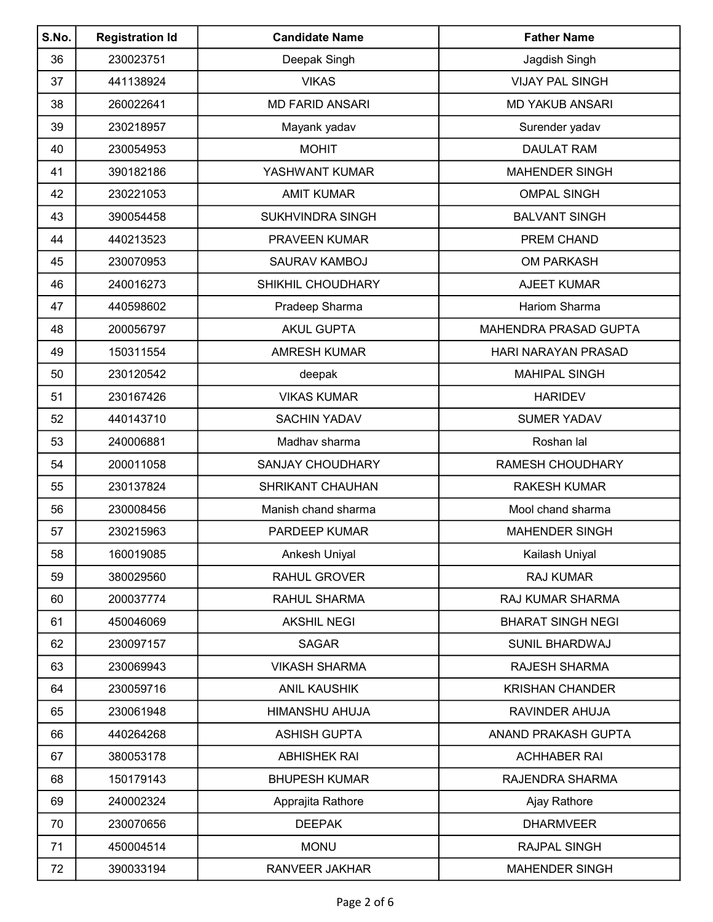| S.No. | <b>Registration Id</b> | <b>Candidate Name</b>   | <b>Father Name</b>           |
|-------|------------------------|-------------------------|------------------------------|
| 36    | 230023751              | Deepak Singh            | Jagdish Singh                |
| 37    | 441138924              | <b>VIKAS</b>            | <b>VIJAY PAL SINGH</b>       |
| 38    | 260022641              | <b>MD FARID ANSARI</b>  | <b>MD YAKUB ANSARI</b>       |
| 39    | 230218957              | Mayank yadav            | Surender yadav               |
| 40    | 230054953              | <b>MOHIT</b>            | <b>DAULAT RAM</b>            |
| 41    | 390182186              | YASHWANT KUMAR          | <b>MAHENDER SINGH</b>        |
| 42    | 230221053              | <b>AMIT KUMAR</b>       | <b>OMPAL SINGH</b>           |
| 43    | 390054458              | <b>SUKHVINDRA SINGH</b> | <b>BALVANT SINGH</b>         |
| 44    | 440213523              | PRAVEEN KUMAR           | PREM CHAND                   |
| 45    | 230070953              | SAURAV KAMBOJ           | <b>OM PARKASH</b>            |
| 46    | 240016273              | SHIKHIL CHOUDHARY       | <b>AJEET KUMAR</b>           |
| 47    | 440598602              | Pradeep Sharma          | <b>Hariom Sharma</b>         |
| 48    | 200056797              | <b>AKUL GUPTA</b>       | <b>MAHENDRA PRASAD GUPTA</b> |
| 49    | 150311554              | <b>AMRESH KUMAR</b>     | HARI NARAYAN PRASAD          |
| 50    | 230120542              | deepak                  | <b>MAHIPAL SINGH</b>         |
| 51    | 230167426              | <b>VIKAS KUMAR</b>      | <b>HARIDEV</b>               |
| 52    | 440143710              | <b>SACHIN YADAV</b>     | <b>SUMER YADAV</b>           |
| 53    | 240006881              | Madhav sharma           | Roshan lal                   |
| 54    | 200011058              | <b>SANJAY CHOUDHARY</b> | <b>RAMESH CHOUDHARY</b>      |
| 55    | 230137824              | SHRIKANT CHAUHAN        | <b>RAKESH KUMAR</b>          |
| 56    | 230008456              | Manish chand sharma     | Mool chand sharma            |
| 57    | 230215963              | PARDEEP KUMAR           | <b>MAHENDER SINGH</b>        |
| 58    | 160019085              | Ankesh Uniyal           | Kailash Uniyal               |
| 59    | 380029560              | <b>RAHUL GROVER</b>     | <b>RAJ KUMAR</b>             |
| 60    | 200037774              | RAHUL SHARMA            | RAJ KUMAR SHARMA             |
| 61    | 450046069              | <b>AKSHIL NEGI</b>      | <b>BHARAT SINGH NEGI</b>     |
| 62    | 230097157              | <b>SAGAR</b>            | <b>SUNIL BHARDWAJ</b>        |
| 63    | 230069943              | <b>VIKASH SHARMA</b>    | RAJESH SHARMA                |
| 64    | 230059716              | <b>ANIL KAUSHIK</b>     | <b>KRISHAN CHANDER</b>       |
| 65    | 230061948              | HIMANSHU AHUJA          | RAVINDER AHUJA               |
| 66    | 440264268              | <b>ASHISH GUPTA</b>     | ANAND PRAKASH GUPTA          |
| 67    | 380053178              | <b>ABHISHEK RAI</b>     | <b>ACHHABER RAI</b>          |
| 68    | 150179143              | <b>BHUPESH KUMAR</b>    | RAJENDRA SHARMA              |
| 69    | 240002324              | Apprajita Rathore       | Ajay Rathore                 |
| 70    | 230070656              | <b>DEEPAK</b>           | <b>DHARMVEER</b>             |
| 71    | 450004514              | <b>MONU</b>             | RAJPAL SINGH                 |
| 72    | 390033194              | RANVEER JAKHAR          | <b>MAHENDER SINGH</b>        |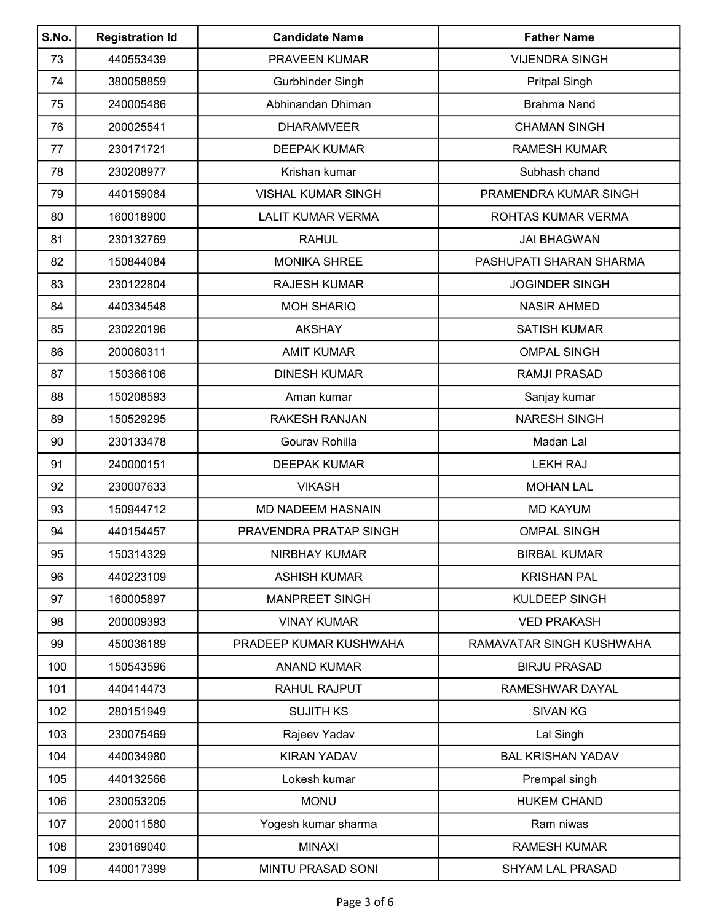| S.No. | <b>Registration Id</b> | <b>Candidate Name</b>     | <b>Father Name</b>       |
|-------|------------------------|---------------------------|--------------------------|
| 73    | 440553439              | PRAVEEN KUMAR             | <b>VIJENDRA SINGH</b>    |
| 74    | 380058859              | Gurbhinder Singh          | <b>Pritpal Singh</b>     |
| 75    | 240005486              | Abhinandan Dhiman         | <b>Brahma Nand</b>       |
| 76    | 200025541              | <b>DHARAMVEER</b>         | <b>CHAMAN SINGH</b>      |
| 77    | 230171721              | <b>DEEPAK KUMAR</b>       | <b>RAMESH KUMAR</b>      |
| 78    | 230208977              | Krishan kumar             | Subhash chand            |
| 79    | 440159084              | <b>VISHAL KUMAR SINGH</b> | PRAMENDRA KUMAR SINGH    |
| 80    | 160018900              | <b>LALIT KUMAR VERMA</b>  | ROHTAS KUMAR VERMA       |
| 81    | 230132769              | <b>RAHUL</b>              | <b>JAI BHAGWAN</b>       |
| 82    | 150844084              | <b>MONIKA SHREE</b>       | PASHUPATI SHARAN SHARMA  |
| 83    | 230122804              | <b>RAJESH KUMAR</b>       | <b>JOGINDER SINGH</b>    |
| 84    | 440334548              | <b>MOH SHARIQ</b>         | <b>NASIR AHMED</b>       |
| 85    | 230220196              | <b>AKSHAY</b>             | <b>SATISH KUMAR</b>      |
| 86    | 200060311              | <b>AMIT KUMAR</b>         | <b>OMPAL SINGH</b>       |
| 87    | 150366106              | <b>DINESH KUMAR</b>       | <b>RAMJI PRASAD</b>      |
| 88    | 150208593              | Aman kumar                | Sanjay kumar             |
| 89    | 150529295              | <b>RAKESH RANJAN</b>      | <b>NARESH SINGH</b>      |
| 90    | 230133478              | Gourav Rohilla            | Madan Lal                |
| 91    | 240000151              | <b>DEEPAK KUMAR</b>       | <b>LEKH RAJ</b>          |
| 92    | 230007633              | <b>VIKASH</b>             | <b>MOHAN LAL</b>         |
| 93    | 150944712              | <b>MD NADEEM HASNAIN</b>  | <b>MD KAYUM</b>          |
| 94    | 440154457              | PRAVENDRA PRATAP SINGH    | <b>OMPAL SINGH</b>       |
| 95    | 150314329              | NIRBHAY KUMAR             | <b>BIRBAL KUMAR</b>      |
| 96    | 440223109              | <b>ASHISH KUMAR</b>       | <b>KRISHAN PAL</b>       |
| 97    | 160005897              | <b>MANPREET SINGH</b>     | KULDEEP SINGH            |
| 98    | 200009393              | <b>VINAY KUMAR</b>        | <b>VED PRAKASH</b>       |
| 99    | 450036189              | PRADEEP KUMAR KUSHWAHA    | RAMAVATAR SINGH KUSHWAHA |
| 100   | 150543596              | <b>ANAND KUMAR</b>        | <b>BIRJU PRASAD</b>      |
| 101   | 440414473              | <b>RAHUL RAJPUT</b>       | RAMESHWAR DAYAL          |
| 102   | 280151949              | <b>SUJITH KS</b>          | <b>SIVAN KG</b>          |
| 103   | 230075469              | Rajeev Yadav              | Lal Singh                |
| 104   | 440034980              | <b>KIRAN YADAV</b>        | <b>BAL KRISHAN YADAV</b> |
| 105   | 440132566              | Lokesh kumar              | Prempal singh            |
| 106   | 230053205              | <b>MONU</b>               | <b>HUKEM CHAND</b>       |
| 107   | 200011580              | Yogesh kumar sharma       | Ram niwas                |
| 108   | 230169040              | <b>MINAXI</b>             | <b>RAMESH KUMAR</b>      |
| 109   | 440017399              | MINTU PRASAD SONI         | <b>SHYAM LAL PRASAD</b>  |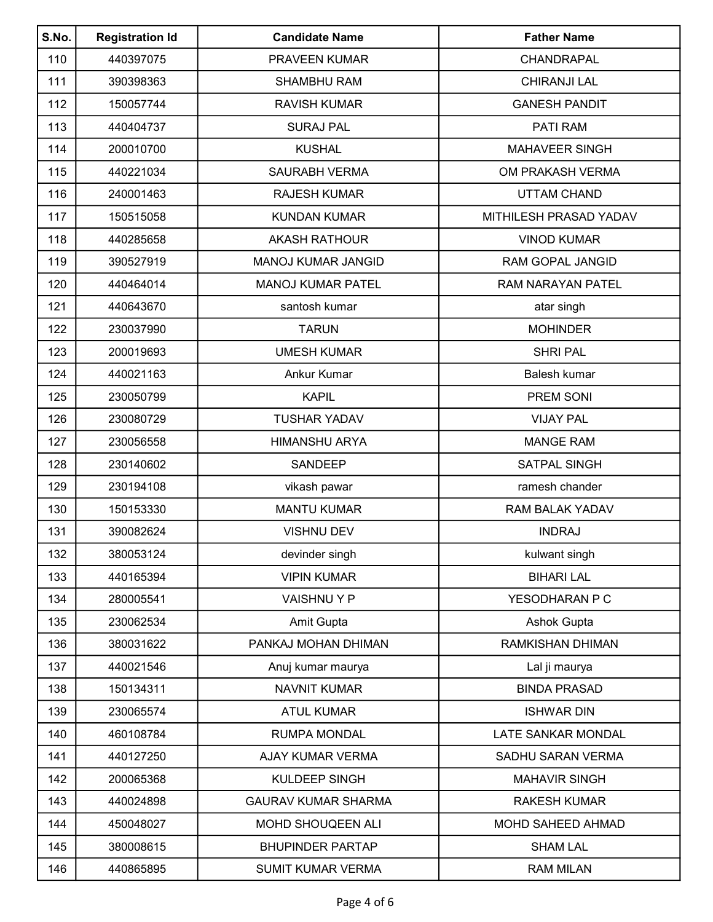| S.No. | <b>Registration Id</b> | <b>Candidate Name</b>      | <b>Father Name</b>     |
|-------|------------------------|----------------------------|------------------------|
| 110   | 440397075              | <b>PRAVEEN KUMAR</b>       | CHANDRAPAL             |
| 111   | 390398363              | <b>SHAMBHU RAM</b>         | <b>CHIRANJI LAL</b>    |
| 112   | 150057744              | <b>RAVISH KUMAR</b>        | <b>GANESH PANDIT</b>   |
| 113   | 440404737              | <b>SURAJ PAL</b>           | PATI RAM               |
| 114   | 200010700              | <b>KUSHAL</b>              | <b>MAHAVEER SINGH</b>  |
| 115   | 440221034              | <b>SAURABH VERMA</b>       | OM PRAKASH VERMA       |
| 116   | 240001463              | <b>RAJESH KUMAR</b>        | <b>UTTAM CHAND</b>     |
| 117   | 150515058              | <b>KUNDAN KUMAR</b>        | MITHILESH PRASAD YADAV |
| 118   | 440285658              | <b>AKASH RATHOUR</b>       | <b>VINOD KUMAR</b>     |
| 119   | 390527919              | <b>MANOJ KUMAR JANGID</b>  | RAM GOPAL JANGID       |
| 120   | 440464014              | <b>MANOJ KUMAR PATEL</b>   | RAM NARAYAN PATEL      |
| 121   | 440643670              | santosh kumar              | atar singh             |
| 122   | 230037990              | <b>TARUN</b>               | <b>MOHINDER</b>        |
| 123   | 200019693              | <b>UMESH KUMAR</b>         | <b>SHRI PAL</b>        |
| 124   | 440021163              | Ankur Kumar                | Balesh kumar           |
| 125   | 230050799              | <b>KAPIL</b>               | PREM SONI              |
| 126   | 230080729              | <b>TUSHAR YADAV</b>        | <b>VIJAY PAL</b>       |
| 127   | 230056558              | <b>HIMANSHU ARYA</b>       | <b>MANGE RAM</b>       |
| 128   | 230140602              | <b>SANDEEP</b>             | <b>SATPAL SINGH</b>    |
| 129   | 230194108              | vikash pawar               | ramesh chander         |
| 130   | 150153330              | <b>MANTU KUMAR</b>         | RAM BALAK YADAV        |
| 131   | 390082624              | <b>VISHNU DEV</b>          | <b>INDRAJ</b>          |
| 132   | 380053124              | devinder singh             | kulwant singh          |
| 133   | 440165394              | <b>VIPIN KUMAR</b>         | <b>BIHARI LAL</b>      |
| 134   | 280005541              | <b>VAISHNUYP</b>           | YESODHARAN P C         |
| 135   | 230062534              | Amit Gupta                 | Ashok Gupta            |
| 136   | 380031622              | PANKAJ MOHAN DHIMAN        | RAMKISHAN DHIMAN       |
| 137   | 440021546              | Anuj kumar maurya          | Lal ji maurya          |
| 138   | 150134311              | <b>NAVNIT KUMAR</b>        | <b>BINDA PRASAD</b>    |
| 139   | 230065574              | <b>ATUL KUMAR</b>          | <b>ISHWAR DIN</b>      |
| 140   | 460108784              | <b>RUMPA MONDAL</b>        | LATE SANKAR MONDAL     |
| 141   | 440127250              | AJAY KUMAR VERMA           | SADHU SARAN VERMA      |
| 142   | 200065368              | KULDEEP SINGH              | <b>MAHAVIR SINGH</b>   |
| 143   | 440024898              | <b>GAURAV KUMAR SHARMA</b> | <b>RAKESH KUMAR</b>    |
| 144   | 450048027              | MOHD SHOUQEEN ALI          | MOHD SAHEED AHMAD      |
| 145   | 380008615              | <b>BHUPINDER PARTAP</b>    | <b>SHAM LAL</b>        |
| 146   | 440865895              | <b>SUMIT KUMAR VERMA</b>   | <b>RAM MILAN</b>       |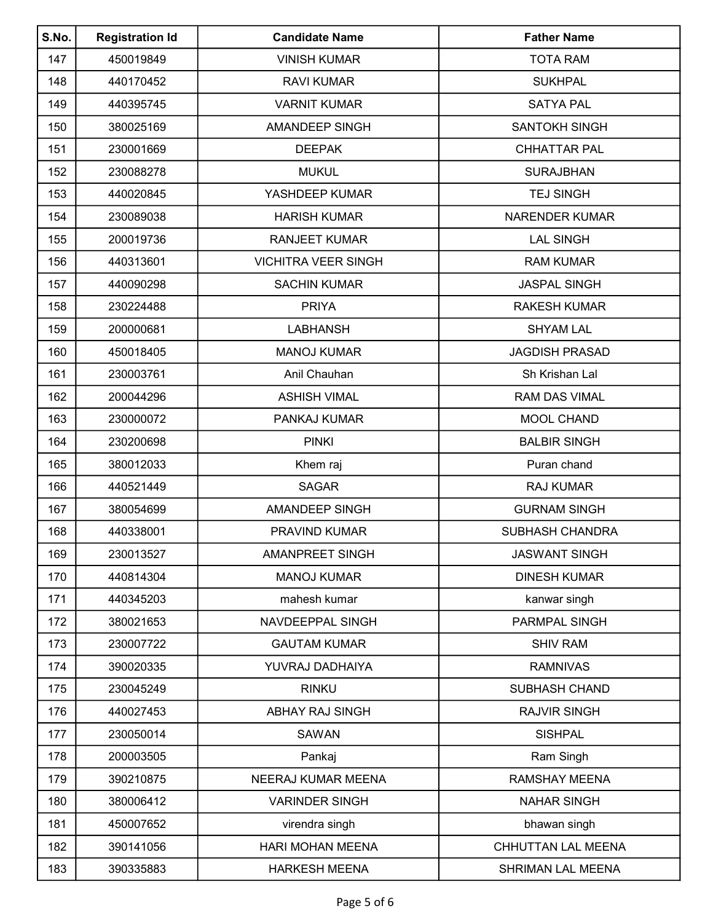| S.No. | <b>Registration Id</b> | <b>Candidate Name</b>      | <b>Father Name</b>     |
|-------|------------------------|----------------------------|------------------------|
| 147   | 450019849              | <b>VINISH KUMAR</b>        | <b>TOTA RAM</b>        |
| 148   | 440170452              | <b>RAVI KUMAR</b>          | <b>SUKHPAL</b>         |
| 149   | 440395745              | <b>VARNIT KUMAR</b>        | <b>SATYA PAL</b>       |
| 150   | 380025169              | <b>AMANDEEP SINGH</b>      | <b>SANTOKH SINGH</b>   |
| 151   | 230001669              | <b>DEEPAK</b>              | <b>CHHATTAR PAL</b>    |
| 152   | 230088278              | <b>MUKUL</b>               | <b>SURAJBHAN</b>       |
| 153   | 440020845              | YASHDEEP KUMAR             | <b>TEJ SINGH</b>       |
| 154   | 230089038              | <b>HARISH KUMAR</b>        | <b>NARENDER KUMAR</b>  |
| 155   | 200019736              | <b>RANJEET KUMAR</b>       | <b>LAL SINGH</b>       |
| 156   | 440313601              | <b>VICHITRA VEER SINGH</b> | <b>RAM KUMAR</b>       |
| 157   | 440090298              | <b>SACHIN KUMAR</b>        | <b>JASPAL SINGH</b>    |
| 158   | 230224488              | <b>PRIYA</b>               | <b>RAKESH KUMAR</b>    |
| 159   | 200000681              | <b>LABHANSH</b>            | <b>SHYAM LAL</b>       |
| 160   | 450018405              | <b>MANOJ KUMAR</b>         | <b>JAGDISH PRASAD</b>  |
| 161   | 230003761              | Anil Chauhan               | Sh Krishan Lal         |
| 162   | 200044296              | <b>ASHISH VIMAL</b>        | <b>RAM DAS VIMAL</b>   |
| 163   | 230000072              | PANKAJ KUMAR               | <b>MOOL CHAND</b>      |
| 164   | 230200698              | <b>PINKI</b>               | <b>BALBIR SINGH</b>    |
| 165   | 380012033              | Khem raj                   | Puran chand            |
| 166   | 440521449              | <b>SAGAR</b>               | <b>RAJ KUMAR</b>       |
| 167   | 380054699              | <b>AMANDEEP SINGH</b>      | <b>GURNAM SINGH</b>    |
| 168   | 440338001              | PRAVIND KUMAR              | <b>SUBHASH CHANDRA</b> |
| 169   | 230013527              | <b>AMANPREET SINGH</b>     | <b>JASWANT SINGH</b>   |
| 170   | 440814304              | <b>MANOJ KUMAR</b>         | <b>DINESH KUMAR</b>    |
| 171   | 440345203              | mahesh kumar               | kanwar singh           |
| 172   | 380021653              | NAVDEEPPAL SINGH           | PARMPAL SINGH          |
| 173   | 230007722              | <b>GAUTAM KUMAR</b>        | <b>SHIV RAM</b>        |
| 174   | 390020335              | YUVRAJ DADHAIYA            | <b>RAMNIVAS</b>        |
| 175   | 230045249              | <b>RINKU</b>               | <b>SUBHASH CHAND</b>   |
| 176   | 440027453              | ABHAY RAJ SINGH            | <b>RAJVIR SINGH</b>    |
| 177   | 230050014              | <b>SAWAN</b>               | <b>SISHPAL</b>         |
| 178   | 200003505              | Pankaj                     | Ram Singh              |
| 179   | 390210875              | NEERAJ KUMAR MEENA         | <b>RAMSHAY MEENA</b>   |
| 180   | 380006412              | <b>VARINDER SINGH</b>      | <b>NAHAR SINGH</b>     |
| 181   | 450007652              | virendra singh             | bhawan singh           |
| 182   | 390141056              | <b>HARI MOHAN MEENA</b>    | CHHUTTAN LAL MEENA     |
| 183   | 390335883              | <b>HARKESH MEENA</b>       | SHRIMAN LAL MEENA      |